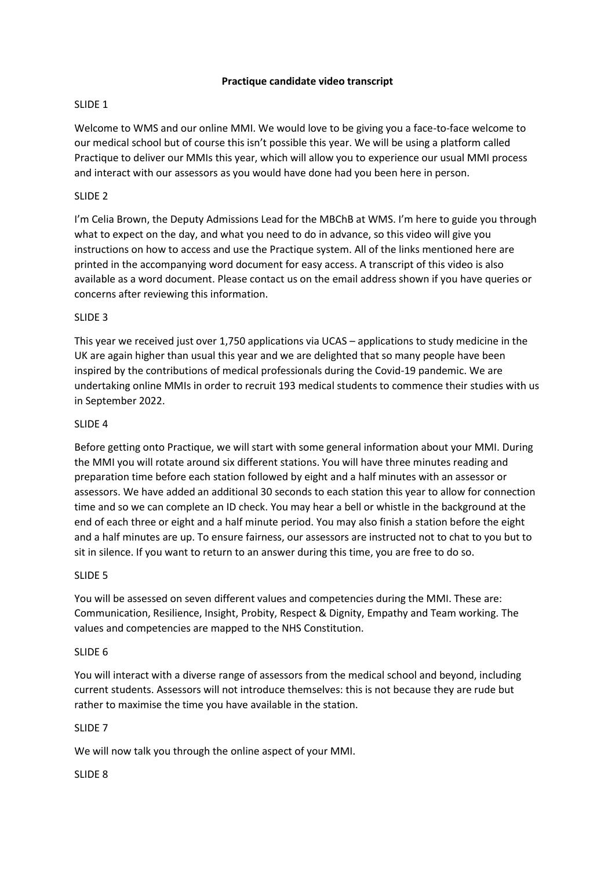# **Practique candidate video transcript**

# SLIDE 1

Welcome to WMS and our online MMI. We would love to be giving you a face-to-face welcome to our medical school but of course this isn't possible this year. We will be using a platform called Practique to deliver our MMIs this year, which will allow you to experience our usual MMI process and interact with our assessors as you would have done had you been here in person.

# SLIDE 2

I'm Celia Brown, the Deputy Admissions Lead for the MBChB at WMS. I'm here to guide you through what to expect on the day, and what you need to do in advance, so this video will give you instructions on how to access and use the Practique system. All of the links mentioned here are printed in the accompanying word document for easy access. A transcript of this video is also available as a word document. Please contact us on the email address shown if you have queries or concerns after reviewing this information.

# SLIDE 3

This year we received just over 1,750 applications via UCAS – applications to study medicine in the UK are again higher than usual this year and we are delighted that so many people have been inspired by the contributions of medical professionals during the Covid-19 pandemic. We are undertaking online MMIs in order to recruit 193 medical students to commence their studies with us in September 2022.

# SLIDE 4

Before getting onto Practique, we will start with some general information about your MMI. During the MMI you will rotate around six different stations. You will have three minutes reading and preparation time before each station followed by eight and a half minutes with an assessor or assessors. We have added an additional 30 seconds to each station this year to allow for connection time and so we can complete an ID check. You may hear a bell or whistle in the background at the end of each three or eight and a half minute period. You may also finish a station before the eight and a half minutes are up. To ensure fairness, our assessors are instructed not to chat to you but to sit in silence. If you want to return to an answer during this time, you are free to do so.

# SLIDE 5

You will be assessed on seven different values and competencies during the MMI. These are: Communication, Resilience, Insight, Probity, Respect & Dignity, Empathy and Team working. The values and competencies are mapped to the NHS Constitution.

# SLIDE 6

You will interact with a diverse range of assessors from the medical school and beyond, including current students. Assessors will not introduce themselves: this is not because they are rude but rather to maximise the time you have available in the station.

# SLIDE 7

We will now talk you through the online aspect of your MMI.

# SLIDE 8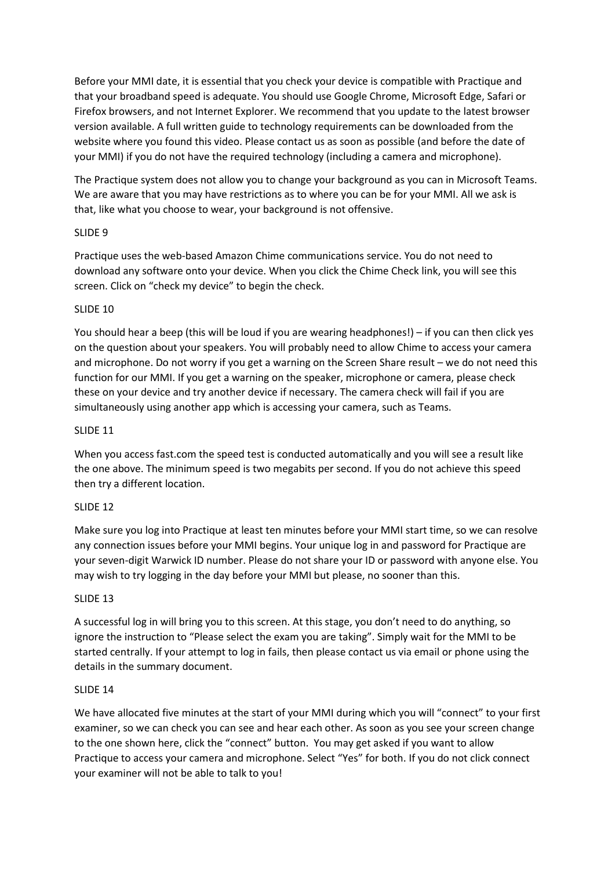Before your MMI date, it is essential that you check your device is compatible with Practique and that your broadband speed is adequate. You should use Google Chrome, Microsoft Edge, Safari or Firefox browsers, and not Internet Explorer. We recommend that you update to the latest browser version available. A full written guide to technology requirements can be downloaded from the website where you found this video. Please contact us as soon as possible (and before the date of your MMI) if you do not have the required technology (including a camera and microphone).

The Practique system does not allow you to change your background as you can in Microsoft Teams. We are aware that you may have restrictions as to where you can be for your MMI. All we ask is that, like what you choose to wear, your background is not offensive.

# SLIDE 9

Practique uses the web-based Amazon Chime communications service. You do not need to download any software onto your device. When you click the Chime Check link, you will see this screen. Click on "check my device" to begin the check.

# SLIDE 10

You should hear a beep (this will be loud if you are wearing headphones!) – if you can then click yes on the question about your speakers. You will probably need to allow Chime to access your camera and microphone. Do not worry if you get a warning on the Screen Share result – we do not need this function for our MMI. If you get a warning on the speaker, microphone or camera, please check these on your device and try another device if necessary. The camera check will fail if you are simultaneously using another app which is accessing your camera, such as Teams.

# SLIDE 11

When you access fast.com the speed test is conducted automatically and you will see a result like the one above. The minimum speed is two megabits per second. If you do not achieve this speed then try a different location.

# SLIDE 12

Make sure you log into Practique at least ten minutes before your MMI start time, so we can resolve any connection issues before your MMI begins. Your unique log in and password for Practique are your seven-digit Warwick ID number. Please do not share your ID or password with anyone else. You may wish to try logging in the day before your MMI but please, no sooner than this.

# SLIDE 13

A successful log in will bring you to this screen. At this stage, you don't need to do anything, so ignore the instruction to "Please select the exam you are taking". Simply wait for the MMI to be started centrally. If your attempt to log in fails, then please contact us via email or phone using the details in the summary document.

# SLIDE 14

We have allocated five minutes at the start of your MMI during which you will "connect" to your first examiner, so we can check you can see and hear each other. As soon as you see your screen change to the one shown here, click the "connect" button. You may get asked if you want to allow Practique to access your camera and microphone. Select "Yes" for both. If you do not click connect your examiner will not be able to talk to you!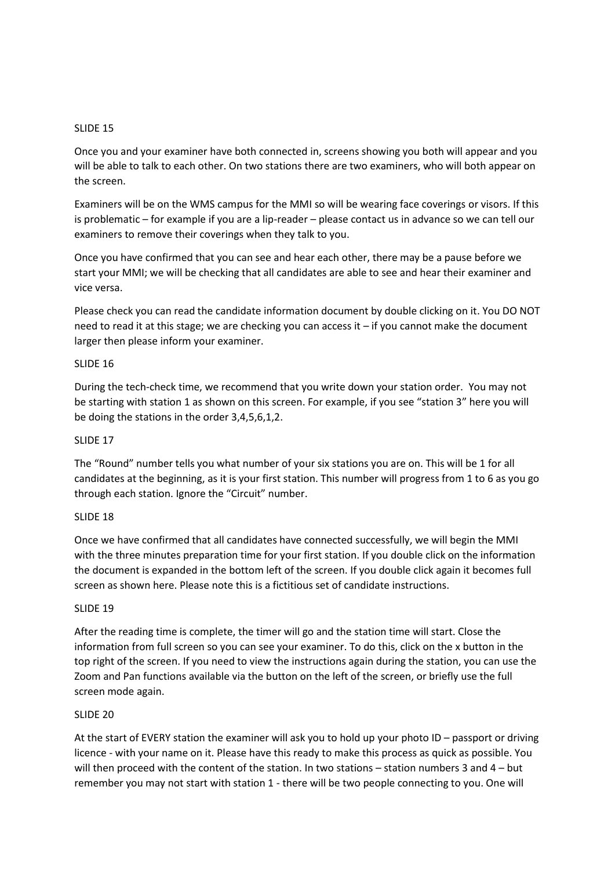## SLIDE 15

Once you and your examiner have both connected in, screens showing you both will appear and you will be able to talk to each other. On two stations there are two examiners, who will both appear on the screen.

Examiners will be on the WMS campus for the MMI so will be wearing face coverings or visors. If this is problematic – for example if you are a lip-reader – please contact us in advance so we can tell our examiners to remove their coverings when they talk to you.

Once you have confirmed that you can see and hear each other, there may be a pause before we start your MMI; we will be checking that all candidates are able to see and hear their examiner and vice versa.

Please check you can read the candidate information document by double clicking on it. You DO NOT need to read it at this stage; we are checking you can access it – if you cannot make the document larger then please inform your examiner.

## SLIDE 16

During the tech-check time, we recommend that you write down your station order. You may not be starting with station 1 as shown on this screen. For example, if you see "station 3" here you will be doing the stations in the order 3,4,5,6,1,2.

### SLIDE 17

The "Round" number tells you what number of your six stations you are on. This will be 1 for all candidates at the beginning, as it is your first station. This number will progress from 1 to 6 as you go through each station. Ignore the "Circuit" number.

## SLIDE 18

Once we have confirmed that all candidates have connected successfully, we will begin the MMI with the three minutes preparation time for your first station. If you double click on the information the document is expanded in the bottom left of the screen. If you double click again it becomes full screen as shown here. Please note this is a fictitious set of candidate instructions.

### SLIDE 19

After the reading time is complete, the timer will go and the station time will start. Close the information from full screen so you can see your examiner. To do this, click on the x button in the top right of the screen. If you need to view the instructions again during the station, you can use the Zoom and Pan functions available via the button on the left of the screen, or briefly use the full screen mode again.

### SLIDE 20

At the start of EVERY station the examiner will ask you to hold up your photo ID – passport or driving licence - with your name on it. Please have this ready to make this process as quick as possible. You will then proceed with the content of the station. In two stations – station numbers 3 and 4 – but remember you may not start with station 1 - there will be two people connecting to you. One will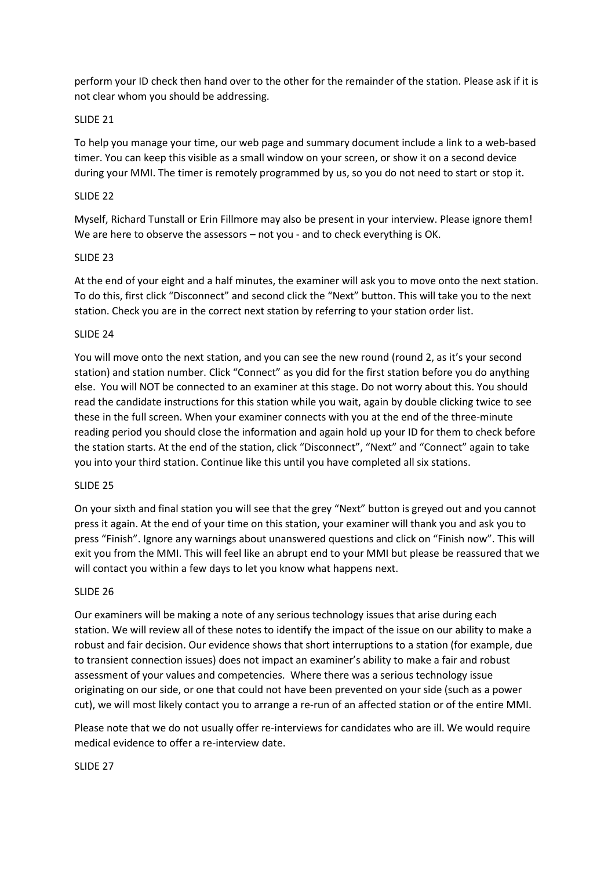perform your ID check then hand over to the other for the remainder of the station. Please ask if it is not clear whom you should be addressing.

# SLIDE 21

To help you manage your time, our web page and summary document include a link to a web-based timer. You can keep this visible as a small window on your screen, or show it on a second device during your MMI. The timer is remotely programmed by us, so you do not need to start or stop it.

### SLIDE 22

Myself, Richard Tunstall or Erin Fillmore may also be present in your interview. Please ignore them! We are here to observe the assessors – not you - and to check everything is OK.

#### SLIDE 23

At the end of your eight and a half minutes, the examiner will ask you to move onto the next station. To do this, first click "Disconnect" and second click the "Next" button. This will take you to the next station. Check you are in the correct next station by referring to your station order list.

## SLIDE 24

You will move onto the next station, and you can see the new round (round 2, as it's your second station) and station number. Click "Connect" as you did for the first station before you do anything else. You will NOT be connected to an examiner at this stage. Do not worry about this. You should read the candidate instructions for this station while you wait, again by double clicking twice to see these in the full screen. When your examiner connects with you at the end of the three-minute reading period you should close the information and again hold up your ID for them to check before the station starts. At the end of the station, click "Disconnect", "Next" and "Connect" again to take you into your third station. Continue like this until you have completed all six stations.

#### SLIDE 25

On your sixth and final station you will see that the grey "Next" button is greyed out and you cannot press it again. At the end of your time on this station, your examiner will thank you and ask you to press "Finish". Ignore any warnings about unanswered questions and click on "Finish now". This will exit you from the MMI. This will feel like an abrupt end to your MMI but please be reassured that we will contact you within a few days to let you know what happens next.

#### SLIDE 26

Our examiners will be making a note of any serious technology issues that arise during each station. We will review all of these notes to identify the impact of the issue on our ability to make a robust and fair decision. Our evidence shows that short interruptions to a station (for example, due to transient connection issues) does not impact an examiner's ability to make a fair and robust assessment of your values and competencies. Where there was a serious technology issue originating on our side, or one that could not have been prevented on your side (such as a power cut), we will most likely contact you to arrange a re-run of an affected station or of the entire MMI.

Please note that we do not usually offer re-interviews for candidates who are ill. We would require medical evidence to offer a re-interview date.

#### SLIDE 27